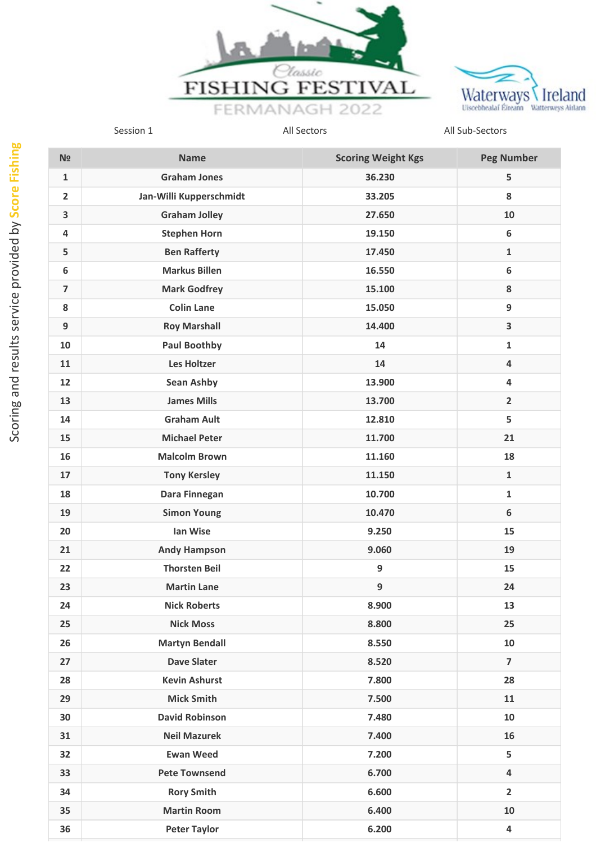



| N <sub>2</sub>          | <b>Name</b>             | <b>Scoring Weight Kgs</b> | <b>Peg Number</b>       |
|-------------------------|-------------------------|---------------------------|-------------------------|
| $\mathbf{1}$            | <b>Graham Jones</b>     | 36.230                    | 5                       |
| $\overline{2}$          | Jan-Willi Kupperschmidt | 33.205                    | 8                       |
| $\overline{\mathbf{3}}$ | <b>Graham Jolley</b>    | 27.650                    | 10                      |
| 4                       | <b>Stephen Horn</b>     | 19.150                    | 6                       |
| 5                       | <b>Ben Rafferty</b>     | 17.450                    | $\mathbf{1}$            |
| 6                       | <b>Markus Billen</b>    | 16.550                    | $\boldsymbol{6}$        |
| $\overline{\mathbf{z}}$ | <b>Mark Godfrey</b>     | 15.100                    | 8                       |
| 8                       | <b>Colin Lane</b>       | 15.050                    | 9                       |
| 9                       | <b>Roy Marshall</b>     | 14.400                    | $\overline{\mathbf{3}}$ |
| 10                      | <b>Paul Boothby</b>     | 14                        | $\mathbf{1}$            |
| 11                      | <b>Les Holtzer</b>      | 14                        | $\overline{4}$          |
| 12                      | Sean Ashby              | 13.900                    | 4                       |
| 13                      | <b>James Mills</b>      | 13.700                    | $\overline{2}$          |
| 14                      | <b>Graham Ault</b>      | 12.810                    | 5                       |
| 15                      | <b>Michael Peter</b>    | 11.700                    | 21                      |
| 16                      | <b>Malcolm Brown</b>    | 11.160                    | 18                      |
| 17                      | <b>Tony Kersley</b>     | 11.150                    | $\mathbf{1}$            |
| 18                      | Dara Finnegan           | 10.700                    | $\mathbf{1}$            |
| 19                      | <b>Simon Young</b>      | 10.470                    | 6                       |
| 20                      | Ian Wise                | 9.250                     | 15                      |
| 21                      | <b>Andy Hampson</b>     | 9.060                     | 19                      |
| 22                      | <b>Thorsten Beil</b>    | $\boldsymbol{9}$          | 15                      |
| 23                      | <b>Martin Lane</b>      | 9                         | 24                      |
| 24                      | <b>Nick Roberts</b>     | 8.900                     | 13                      |
| 25                      | <b>Nick Moss</b>        | 8.800                     | 25                      |
| 26                      | <b>Martyn Bendall</b>   | 8.550                     | 10                      |
| 27                      | <b>Dave Slater</b>      | 8.520                     | $\overline{\mathbf{z}}$ |
| 28                      | <b>Kevin Ashurst</b>    | 7.800                     | 28                      |
| 29                      | <b>Mick Smith</b>       | 7.500                     | 11                      |
| 30                      | <b>David Robinson</b>   | 7.480                     | 10                      |
| 31                      | <b>Neil Mazurek</b>     | 7.400                     | 16                      |
| 32                      | <b>Ewan Weed</b>        | 7.200                     | 5                       |
| 33                      | <b>Pete Townsend</b>    | 6.700                     | 4                       |
| 34                      | <b>Rory Smith</b>       | 6.600                     | $\overline{2}$          |
| 35                      | <b>Martin Room</b>      | 6.400                     | 10                      |
| 36                      | <b>Peter Taylor</b>     | 6.200                     | $\overline{\mathbf{4}}$ |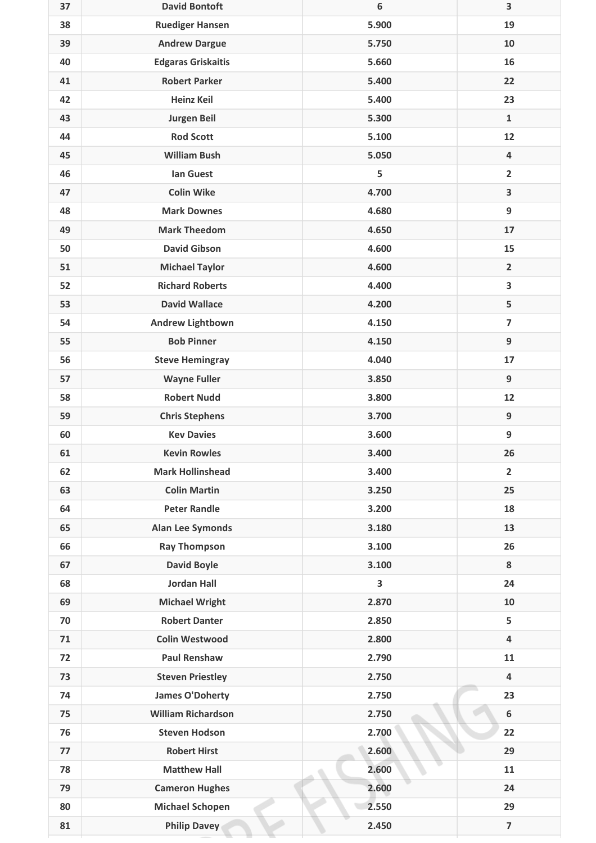| 37 | <b>David Bontoft</b>      | 6     | 3                       |
|----|---------------------------|-------|-------------------------|
| 38 | <b>Ruediger Hansen</b>    | 5.900 | 19                      |
| 39 | <b>Andrew Dargue</b>      | 5.750 | 10                      |
| 40 | <b>Edgaras Griskaitis</b> | 5.660 | 16                      |
| 41 | <b>Robert Parker</b>      | 5.400 | 22                      |
| 42 | <b>Heinz Keil</b>         | 5.400 | 23                      |
| 43 | <b>Jurgen Beil</b>        | 5.300 | $\mathbf{1}$            |
| 44 | <b>Rod Scott</b>          | 5.100 | 12                      |
| 45 | <b>William Bush</b>       | 5.050 | 4                       |
| 46 | <b>Ian Guest</b>          | 5     | $\overline{2}$          |
| 47 | <b>Colin Wike</b>         | 4.700 | 3                       |
| 48 | <b>Mark Downes</b>        | 4.680 | 9                       |
| 49 | <b>Mark Theedom</b>       | 4.650 | 17                      |
| 50 | <b>David Gibson</b>       | 4.600 | 15                      |
| 51 | <b>Michael Taylor</b>     | 4.600 | $\overline{2}$          |
| 52 | <b>Richard Roberts</b>    | 4.400 | 3                       |
| 53 | <b>David Wallace</b>      | 4.200 | 5                       |
| 54 | <b>Andrew Lightbown</b>   | 4.150 | $\overline{\mathbf{z}}$ |
| 55 | <b>Bob Pinner</b>         | 4.150 | 9                       |
| 56 | <b>Steve Hemingray</b>    | 4.040 | 17                      |
| 57 | <b>Wayne Fuller</b>       | 3.850 | 9                       |
| 58 | <b>Robert Nudd</b>        | 3.800 | 12                      |
| 59 | <b>Chris Stephens</b>     | 3.700 | $\boldsymbol{9}$        |
| 60 | <b>Kev Davies</b>         | 3.600 | 9                       |
| 61 | <b>Kevin Rowles</b>       | 3.400 | 26                      |
| 62 | <b>Mark Hollinshead</b>   | 3.400 | $\overline{2}$          |
| 63 | <b>Colin Martin</b>       | 3.250 | 25                      |
| 64 | <b>Peter Randle</b>       | 3.200 | 18                      |
| 65 | <b>Alan Lee Symonds</b>   | 3.180 | 13                      |
| 66 | <b>Ray Thompson</b>       | 3.100 | 26                      |
| 67 | <b>David Boyle</b>        | 3.100 | 8                       |
| 68 | <b>Jordan Hall</b>        | 3     | 24                      |
| 69 | <b>Michael Wright</b>     | 2.870 | 10                      |
| 70 | <b>Robert Danter</b>      | 2.850 | 5                       |
| 71 | <b>Colin Westwood</b>     | 2.800 | 4                       |
| 72 | <b>Paul Renshaw</b>       | 2.790 | 11                      |
| 73 | <b>Steven Priestley</b>   | 2.750 | 4                       |
| 74 | <b>James O'Doherty</b>    | 2.750 | 23                      |
| 75 | <b>William Richardson</b> | 2.750 | $\boldsymbol{6}$        |
| 76 | <b>Steven Hodson</b>      | 2.700 | 22                      |
| 77 | <b>Robert Hirst</b>       | 2.600 | 29                      |
| 78 | <b>Matthew Hall</b>       | 2.600 | 11                      |
| 79 | <b>Cameron Hughes</b>     | 2.600 | 24                      |
| 80 | <b>Michael Schopen</b>    | 2.550 | 29                      |
| 81 | <b>Philip Davey</b>       | 2.450 | $\overline{\mathbf{z}}$ |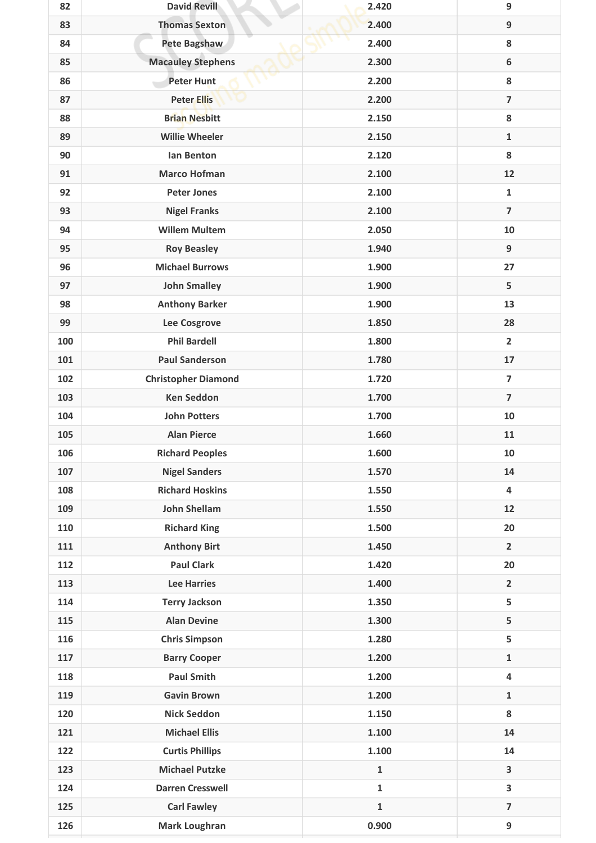| 82  | <b>David Revill</b>        | 2.420        | 9                       |
|-----|----------------------------|--------------|-------------------------|
| 83  | <b>Thomas Sexton</b>       | 2.400        | 9                       |
| 84  | Pete Bagshaw               | 2.400        | 8                       |
| 85  | <b>Macauley Stephens</b>   | 2.300        | $\boldsymbol{6}$        |
| 86  | <b>Peter Hunt</b>          | 2.200        | 8                       |
| 87  | <b>Peter Ellis</b>         | 2.200        | $\overline{7}$          |
| 88  | <b>Brian Nesbitt</b>       | 2.150        | 8                       |
| 89  | <b>Willie Wheeler</b>      | 2.150        | $\mathbf 1$             |
| 90  | lan Benton                 | 2.120        | 8                       |
| 91  | <b>Marco Hofman</b>        | 2.100        | 12                      |
| 92  | <b>Peter Jones</b>         | 2.100        | $\mathbf{1}$            |
| 93  | <b>Nigel Franks</b>        | 2.100        | $\overline{7}$          |
| 94  | <b>Willem Multem</b>       | 2.050        | 10                      |
| 95  | <b>Roy Beasley</b>         | 1.940        | $\boldsymbol{9}$        |
| 96  | <b>Michael Burrows</b>     | 1.900        | 27                      |
| 97  | <b>John Smalley</b>        | 1.900        | 5                       |
| 98  | <b>Anthony Barker</b>      | 1.900        | 13                      |
| 99  | Lee Cosgrove               | 1.850        | 28                      |
| 100 | <b>Phil Bardell</b>        | 1.800        | $\overline{2}$          |
| 101 | <b>Paul Sanderson</b>      | 1.780        | 17                      |
| 102 | <b>Christopher Diamond</b> | 1.720        | $\overline{7}$          |
| 103 | <b>Ken Seddon</b>          | 1.700        | $\overline{7}$          |
| 104 | <b>John Potters</b>        | 1.700        | 10                      |
| 105 | <b>Alan Pierce</b>         | 1.660        | 11                      |
| 106 | <b>Richard Peoples</b>     | 1.600        | 10                      |
| 107 | <b>Nigel Sanders</b>       | 1.570        | 14                      |
| 108 | <b>Richard Hoskins</b>     | 1.550        | $\overline{4}$          |
| 109 | <b>John Shellam</b>        | 1.550        | 12                      |
| 110 | <b>Richard King</b>        | 1.500        | 20                      |
| 111 | <b>Anthony Birt</b>        | 1.450        | $\overline{2}$          |
| 112 | <b>Paul Clark</b>          | 1.420        | 20                      |
| 113 | <b>Lee Harries</b>         | 1.400        | $\overline{2}$          |
| 114 | <b>Terry Jackson</b>       | 1.350        | 5                       |
| 115 | <b>Alan Devine</b>         | 1.300        | 5                       |
| 116 | <b>Chris Simpson</b>       | 1.280        | 5                       |
| 117 | <b>Barry Cooper</b>        | 1.200        | $\mathbf{1}$            |
| 118 | <b>Paul Smith</b>          | 1.200        | $\overline{\mathbf{4}}$ |
| 119 | <b>Gavin Brown</b>         | 1.200        | $\mathbf{1}$            |
| 120 | <b>Nick Seddon</b>         | 1.150        | 8                       |
| 121 | <b>Michael Ellis</b>       | 1.100        | 14                      |
| 122 | <b>Curtis Phillips</b>     | 1.100        | 14                      |
| 123 | <b>Michael Putzke</b>      | $\mathbf{1}$ | 3                       |
| 124 | <b>Darren Cresswell</b>    | $\mathbf{1}$ | 3                       |
| 125 | <b>Carl Fawley</b>         | $\mathbf{1}$ | $\overline{\mathbf{z}}$ |
| 126 | Mark Loughran              | 0.900        | 9                       |